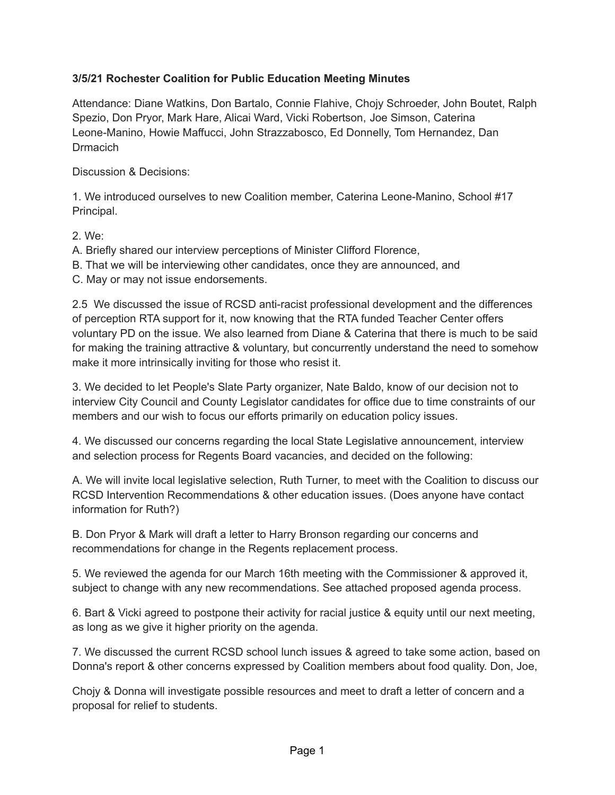## **3/5/21 Rochester Coalition for Public Education Meeting Minutes**

Attendance: Diane Watkins, Don Bartalo, Connie Flahive, Chojy Schroeder, John Boutet, Ralph Spezio, Don Pryor, Mark Hare, Alicai Ward, Vicki Robertson, Joe Simson, Caterina Leone-Manino, Howie Maffucci, John Strazzabosco, Ed Donnelly, Tom Hernandez, Dan **Drmacich** 

Discussion & Decisions:

1. We introduced ourselves to new Coalition member, Caterina Leone-Manino, School #17 Principal.

2. We:

A. Briefly shared our interview perceptions of Minister Clifford Florence,

B. That we will be interviewing other candidates, once they are announced, and

C. May or may not issue endorsements.

2.5 We discussed the issue of RCSD anti-racist professional development and the differences of perception RTA support for it, now knowing that the RTA funded Teacher Center offers voluntary PD on the issue. We also learned from Diane & Caterina that there is much to be said for making the training attractive & voluntary, but concurrently understand the need to somehow make it more intrinsically inviting for those who resist it.

3. We decided to let People's Slate Party organizer, Nate Baldo, know of our decision not to interview City Council and County Legislator candidates for office due to time constraints of our members and our wish to focus our efforts primarily on education policy issues.

4. We discussed our concerns regarding the local State Legislative announcement, interview and selection process for Regents Board vacancies, and decided on the following:

A. We will invite local legislative selection, Ruth Turner, to meet with the Coalition to discuss our RCSD Intervention Recommendations & other education issues. (Does anyone have contact information for Ruth?)

B. Don Pryor & Mark will draft a letter to Harry Bronson regarding our concerns and recommendations for change in the Regents replacement process.

5. We reviewed the agenda for our March 16th meeting with the Commissioner & approved it, subject to change with any new recommendations. See attached proposed agenda process.

6. Bart & Vicki agreed to postpone their activity for racial justice & equity until our next meeting, as long as we give it higher priority on the agenda.

7. We discussed the current RCSD school lunch issues & agreed to take some action, based on Donna's report & other concerns expressed by Coalition members about food quality. Don, Joe,

Chojy & Donna will investigate possible resources and meet to draft a letter of concern and a proposal for relief to students.